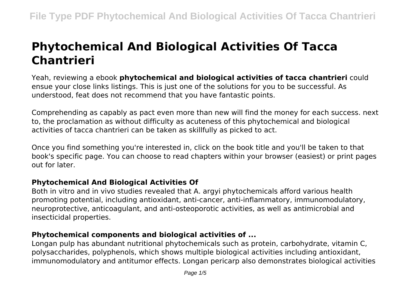# **Phytochemical And Biological Activities Of Tacca Chantrieri**

Yeah, reviewing a ebook **phytochemical and biological activities of tacca chantrieri** could ensue your close links listings. This is just one of the solutions for you to be successful. As understood, feat does not recommend that you have fantastic points.

Comprehending as capably as pact even more than new will find the money for each success. next to, the proclamation as without difficulty as acuteness of this phytochemical and biological activities of tacca chantrieri can be taken as skillfully as picked to act.

Once you find something you're interested in, click on the book title and you'll be taken to that book's specific page. You can choose to read chapters within your browser (easiest) or print pages out for later.

#### **Phytochemical And Biological Activities Of**

Both in vitro and in vivo studies revealed that A. argyi phytochemicals afford various health promoting potential, including antioxidant, anti-cancer, anti-inflammatory, immunomodulatory, neuroprotective, anticoagulant, and anti-osteoporotic activities, as well as antimicrobial and insecticidal properties.

# **Phytochemical components and biological activities of ...**

Longan pulp has abundant nutritional phytochemicals such as protein, carbohydrate, vitamin C, polysaccharides, polyphenols, which shows multiple biological activities including antioxidant, immunomodulatory and antitumor effects. Longan pericarp also demonstrates biological activities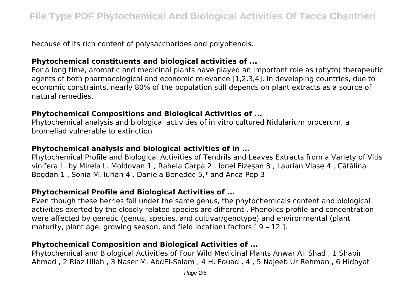because of its rich content of polysaccharides and polyphenols.

#### **Phytochemical constituents and biological activities of ...**

For a long time, aromatic and medicinal plants have played an important role as (phyto) therapeutic agents of both pharmacological and economic relevance [1,2,3,4]. In developing countries, due to economic constraints, nearly 80% of the population still depends on plant extracts as a source of natural remedies.

#### **Phytochemical Compositions and Biological Activities of ...**

Phytochemical analysis and biological activities of in vitro cultured Nidularium procerum, a bromeliad vulnerable to extinction

### **Phytochemical analysis and biological activities of in ...**

Phytochemical Profile and Biological Activities of Tendrils and Leaves Extracts from a Variety of Vitis vinifera L. by Mirela L. Moldovan 1 , Rahela Carpa 2 , Ionel Fizeșan 3 , Laurian Vlase 4 , Cătălina Bogdan 1 , Sonia M. Iurian 4 , Daniela Benedec 5,\* and Anca Pop 3

# **Phytochemical Profile and Biological Activities of ...**

Even though these berries fall under the same genus, the phytochemicals content and biological activities exerted by the closely related species are different . Phenolics profile and concentration were affected by genetic (genus, species, and cultivar/genotype) and environmental (plant maturity, plant age, growing season, and field location) factors [ 9 – 12 ].

# **Phytochemical Composition and Biological Activities of ...**

Phytochemical and Biological Activities of Four Wild Medicinal Plants Anwar Ali Shad , 1 Shabir Ahmad , 2 Riaz Ullah , 3 Naser M. AbdEl-Salam , 4 H. Fouad , 4 , 5 Najeeb Ur Rehman , 6 Hidayat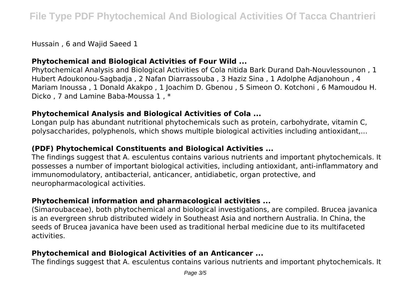Hussain , 6 and Wajid Saeed 1

#### **Phytochemical and Biological Activities of Four Wild ...**

Phytochemical Analysis and Biological Activities of Cola nitida Bark Durand Dah-Nouvlessounon , 1 Hubert Adoukonou-Sagbadja , 2 Nafan Diarrassouba , 3 Haziz Sina , 1 Adolphe Adjanohoun , 4 Mariam Inoussa , 1 Donald Akakpo , 1 Joachim D. Gbenou , 5 Simeon O. Kotchoni , 6 Mamoudou H. Dicko , 7 and Lamine Baba-Moussa 1 , \*

#### **Phytochemical Analysis and Biological Activities of Cola ...**

Longan pulp has abundant nutritional phytochemicals such as protein, carbohydrate, vitamin C, polysaccharides, polyphenols, which shows multiple biological activities including antioxidant,...

#### **(PDF) Phytochemical Constituents and Biological Activities ...**

The findings suggest that A. esculentus contains various nutrients and important phytochemicals. It possesses a number of important biological activities, including antioxidant, anti‐inflammatory and immunomodulatory, antibacterial, anticancer, antidiabetic, organ protective, and neuropharmacological activities.

# **Phytochemical information and pharmacological activities ...**

(Simaroubaceae), both phytochemical and biological investigations, are compiled. Brucea javanica is an evergreen shrub distributed widely in Southeast Asia and northern Australia. In China, the seeds of Brucea javanica have been used as traditional herbal medicine due to its multifaceted activities.

# **Phytochemical and Biological Activities of an Anticancer ...**

The findings suggest that A. esculentus contains various nutrients and important phytochemicals. It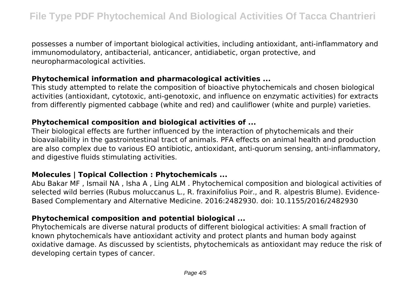possesses a number of important biological activities, including antioxidant, anti-inflammatory and immunomodulatory, antibacterial, anticancer, antidiabetic, organ protective, and neuropharmacological activities.

#### **Phytochemical information and pharmacological activities ...**

This study attempted to relate the composition of bioactive phytochemicals and chosen biological activities (antioxidant, cytotoxic, anti‐genotoxic, and influence on enzymatic activities) for extracts from differently pigmented cabbage (white and red) and cauliflower (white and purple) varieties.

### **Phytochemical composition and biological activities of ...**

Their biological effects are further influenced by the interaction of phytochemicals and their bioavailability in the gastrointestinal tract of animals. PFA effects on animal health and production are also complex due to various EO antibiotic, antioxidant, anti-quorum sensing, anti-inflammatory, and digestive fluids stimulating activities.

# **Molecules | Topical Collection : Phytochemicals ...**

Abu Bakar MF , Ismail NA , Isha A , Ling ALM . Phytochemical composition and biological activities of selected wild berries (Rubus moluccanus L., R. fraxinifolius Poir., and R. alpestris Blume). Evidence-Based Complementary and Alternative Medicine. 2016:2482930. doi: 10.1155/2016/2482930

#### **Phytochemical composition and potential biological ...**

Phytochemicals are diverse natural products of different biological activities: A small fraction of known phytochemicals have antioxidant activity and protect plants and human body against oxidative damage. As discussed by scientists, phytochemicals as antioxidant may reduce the risk of developing certain types of cancer.